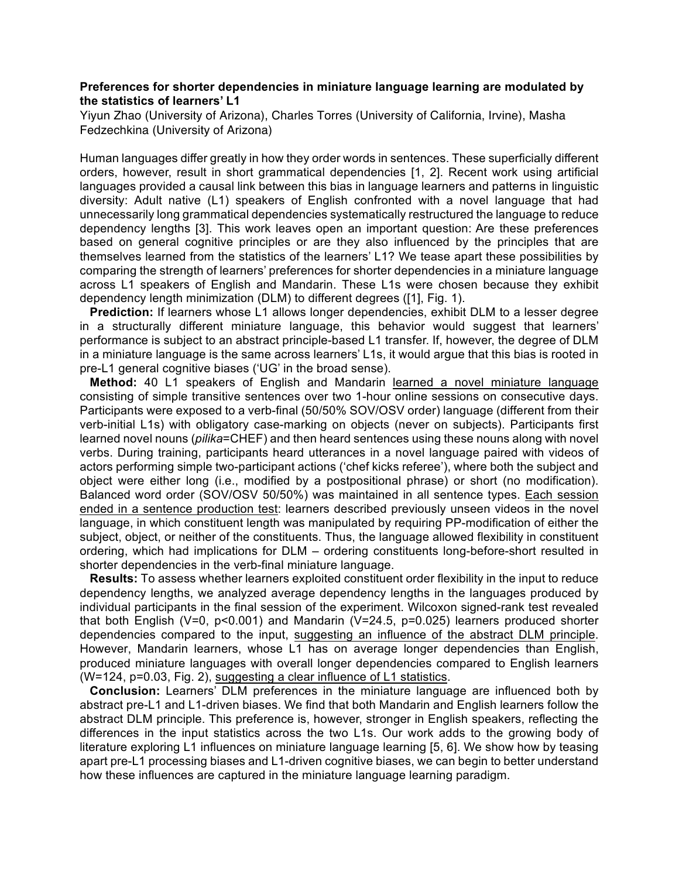## **Preferences for shorter dependencies in miniature language learning are modulated by the statistics of learners' L1**

Yiyun Zhao (University of Arizona), Charles Torres (University of California, Irvine), Masha Fedzechkina (University of Arizona)

Human languages differ greatly in how they order words in sentences. These superficially different orders, however, result in short grammatical dependencies [1, 2]. Recent work using artificial languages provided a causal link between this bias in language learners and patterns in linguistic diversity: Adult native (L1) speakers of English confronted with a novel language that had unnecessarily long grammatical dependencies systematically restructured the language to reduce dependency lengths [3]. This work leaves open an important question: Are these preferences based on general cognitive principles or are they also influenced by the principles that are themselves learned from the statistics of the learners' L1? We tease apart these possibilities by comparing the strength of learners' preferences for shorter dependencies in a miniature language across L1 speakers of English and Mandarin. These L1s were chosen because they exhibit dependency length minimization (DLM) to different degrees ([1], Fig. 1).

**Prediction:** If learners whose L1 allows longer dependencies, exhibit DLM to a lesser degree in a structurally different miniature language, this behavior would suggest that learners' performance is subject to an abstract principle-based L1 transfer. If, however, the degree of DLM in a miniature language is the same across learners' L1s, it would argue that this bias is rooted in pre-L1 general cognitive biases ('UG' in the broad sense).

**Method:** 40 L1 speakers of English and Mandarin learned a novel miniature language consisting of simple transitive sentences over two 1-hour online sessions on consecutive days. Participants were exposed to a verb-final (50/50% SOV/OSV order) language (different from their verb-initial L1s) with obligatory case-marking on objects (never on subjects). Participants first learned novel nouns (*pilika*=CHEF) and then heard sentences using these nouns along with novel verbs. During training, participants heard utterances in a novel language paired with videos of actors performing simple two-participant actions ('chef kicks referee'), where both the subject and object were either long (i.e., modified by a postpositional phrase) or short (no modification). Balanced word order (SOV/OSV 50/50%) was maintained in all sentence types. Each session ended in a sentence production test: learners described previously unseen videos in the novel language, in which constituent length was manipulated by requiring PP-modification of either the subject, object, or neither of the constituents. Thus, the language allowed flexibility in constituent ordering, which had implications for DLM – ordering constituents long-before-short resulted in shorter dependencies in the verb-final miniature language.

**Results:** To assess whether learners exploited constituent order flexibility in the input to reduce dependency lengths, we analyzed average dependency lengths in the languages produced by individual participants in the final session of the experiment. Wilcoxon signed-rank test revealed that both English (V=0,  $p$ <0.001) and Mandarin (V=24.5,  $p$ =0.025) learners produced shorter dependencies compared to the input, suggesting an influence of the abstract DLM principle. However, Mandarin learners, whose L1 has on average longer dependencies than English, produced miniature languages with overall longer dependencies compared to English learners (W=124, p=0.03, Fig. 2), suggesting a clear influence of L1 statistics.

**Conclusion:** Learners' DLM preferences in the miniature language are influenced both by abstract pre-L1 and L1-driven biases. We find that both Mandarin and English learners follow the abstract DLM principle. This preference is, however, stronger in English speakers, reflecting the differences in the input statistics across the two L1s. Our work adds to the growing body of literature exploring L1 influences on miniature language learning [5, 6]. We show how by teasing apart pre-L1 processing biases and L1-driven cognitive biases, we can begin to better understand how these influences are captured in the miniature language learning paradigm.